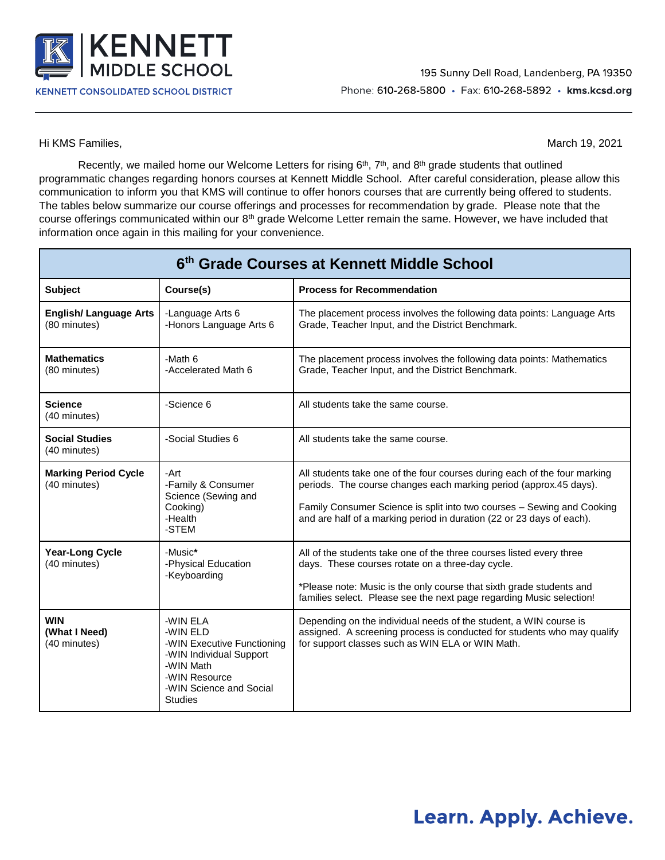

Hi KMS Families, March 19, 2021

Recently, we mailed home our Welcome Letters for rising 6<sup>th</sup>, 7<sup>th</sup>, and 8<sup>th</sup> grade students that outlined programmatic changes regarding honors courses at Kennett Middle School. After careful consideration, please allow this communication to inform you that KMS will continue to offer honors courses that are currently being offered to students. The tables below summarize our course offerings and processes for recommendation by grade. Please note that the course offerings communicated within our 8<sup>th</sup> grade Welcome Letter remain the same. However, we have included that information once again in this mailing for your convenience.

| 6th Grade Courses at Kennett Middle School   |                                                                                                                                                          |                                                                                                                                                                                                                                                                                                   |  |
|----------------------------------------------|----------------------------------------------------------------------------------------------------------------------------------------------------------|---------------------------------------------------------------------------------------------------------------------------------------------------------------------------------------------------------------------------------------------------------------------------------------------------|--|
| <b>Subject</b>                               | Course(s)                                                                                                                                                | <b>Process for Recommendation</b>                                                                                                                                                                                                                                                                 |  |
| <b>English/Language Arts</b><br>(80 minutes) | -Language Arts 6<br>-Honors Language Arts 6                                                                                                              | The placement process involves the following data points: Language Arts<br>Grade, Teacher Input, and the District Benchmark.                                                                                                                                                                      |  |
| <b>Mathematics</b><br>(80 minutes)           | -Math 6<br>-Accelerated Math 6                                                                                                                           | The placement process involves the following data points: Mathematics<br>Grade, Teacher Input, and the District Benchmark.                                                                                                                                                                        |  |
| <b>Science</b><br>(40 minutes)               | -Science 6                                                                                                                                               | All students take the same course.                                                                                                                                                                                                                                                                |  |
| <b>Social Studies</b><br>(40 minutes)        | -Social Studies 6                                                                                                                                        | All students take the same course.                                                                                                                                                                                                                                                                |  |
| <b>Marking Period Cycle</b><br>(40 minutes)  | -Art<br>-Family & Consumer<br>Science (Sewing and<br>Cooking)<br>-Health<br>-STEM                                                                        | All students take one of the four courses during each of the four marking<br>periods. The course changes each marking period (approx.45 days).<br>Family Consumer Science is split into two courses - Sewing and Cooking<br>and are half of a marking period in duration (22 or 23 days of each). |  |
| <b>Year-Long Cycle</b><br>(40 minutes)       | -Music*<br>-Physical Education<br>-Keyboarding                                                                                                           | All of the students take one of the three courses listed every three<br>days. These courses rotate on a three-day cycle.<br>*Please note: Music is the only course that sixth grade students and<br>families select. Please see the next page regarding Music selection!                          |  |
| WIN<br>(What I Need)<br>(40 minutes)         | -WIN ELA<br>-WIN ELD<br>-WIN Executive Functioning<br>-WIN Individual Support<br>-WIN Math<br>-WIN Resource<br>-WIN Science and Social<br><b>Studies</b> | Depending on the individual needs of the student, a WIN course is<br>assigned. A screening process is conducted for students who may qualify<br>for support classes such as WIN ELA or WIN Math.                                                                                                  |  |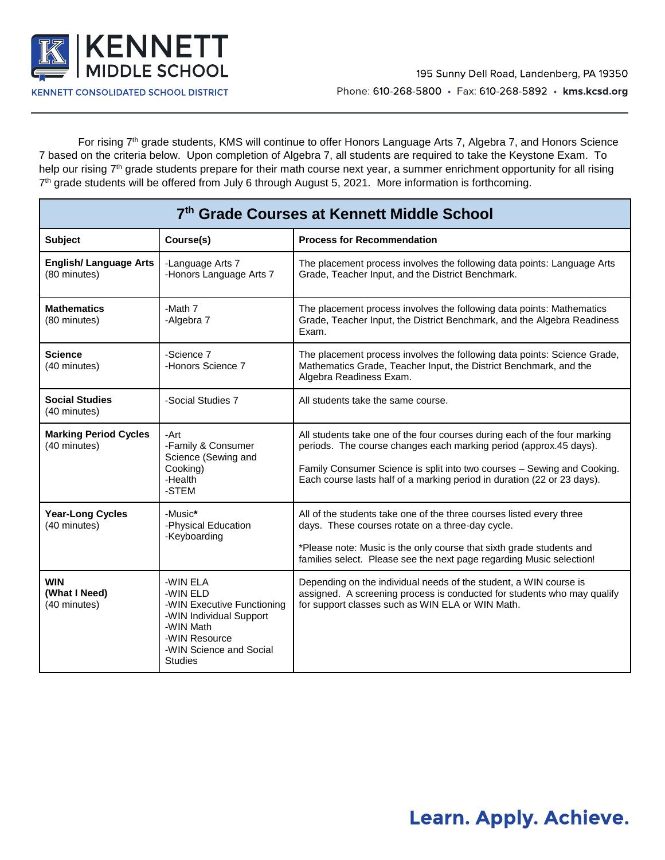

For rising 7<sup>th</sup> grade students, KMS will continue to offer Honors Language Arts 7, Algebra 7, and Honors Science 7 based on the criteria below. Upon completion of Algebra 7, all students are required to take the Keystone Exam. To help our rising 7<sup>th</sup> grade students prepare for their math course next year, a summer enrichment opportunity for all rising 7<sup>th</sup> grade students will be offered from July 6 through August 5, 2021. More information is forthcoming.

| 7th Grade Courses at Kennett Middle School    |                                                                                                                                                          |                                                                                                                                                                                                                                                                                                      |  |
|-----------------------------------------------|----------------------------------------------------------------------------------------------------------------------------------------------------------|------------------------------------------------------------------------------------------------------------------------------------------------------------------------------------------------------------------------------------------------------------------------------------------------------|--|
| <b>Subject</b>                                | Course(s)                                                                                                                                                | <b>Process for Recommendation</b>                                                                                                                                                                                                                                                                    |  |
| <b>English/ Language Arts</b><br>(80 minutes) | -Language Arts 7<br>-Honors Language Arts 7                                                                                                              | The placement process involves the following data points: Language Arts<br>Grade, Teacher Input, and the District Benchmark.                                                                                                                                                                         |  |
| <b>Mathematics</b><br>(80 minutes)            | -Math 7<br>-Algebra 7                                                                                                                                    | The placement process involves the following data points: Mathematics<br>Grade, Teacher Input, the District Benchmark, and the Algebra Readiness<br>Exam.                                                                                                                                            |  |
| <b>Science</b><br>(40 minutes)                | -Science 7<br>-Honors Science 7                                                                                                                          | The placement process involves the following data points: Science Grade,<br>Mathematics Grade, Teacher Input, the District Benchmark, and the<br>Algebra Readiness Exam.                                                                                                                             |  |
| <b>Social Studies</b><br>(40 minutes)         | -Social Studies 7                                                                                                                                        | All students take the same course.                                                                                                                                                                                                                                                                   |  |
| <b>Marking Period Cycles</b><br>(40 minutes)  | -Art<br>-Family & Consumer<br>Science (Sewing and<br>Cooking)<br>-Health<br>-STEM                                                                        | All students take one of the four courses during each of the four marking<br>periods. The course changes each marking period (approx.45 days).<br>Family Consumer Science is split into two courses - Sewing and Cooking.<br>Each course lasts half of a marking period in duration (22 or 23 days). |  |
| <b>Year-Long Cycles</b><br>(40 minutes)       | -Music*<br>-Physical Education<br>-Keyboarding                                                                                                           | All of the students take one of the three courses listed every three<br>days. These courses rotate on a three-day cycle.<br>*Please note: Music is the only course that sixth grade students and<br>families select. Please see the next page regarding Music selection!                             |  |
| <b>WIN</b><br>(What I Need)<br>(40 minutes)   | -WIN ELA<br>-WIN ELD<br>-WIN Executive Functioning<br>-WIN Individual Support<br>-WIN Math<br>-WIN Resource<br>-WIN Science and Social<br><b>Studies</b> | Depending on the individual needs of the student, a WIN course is<br>assigned. A screening process is conducted for students who may qualify<br>for support classes such as WIN ELA or WIN Math.                                                                                                     |  |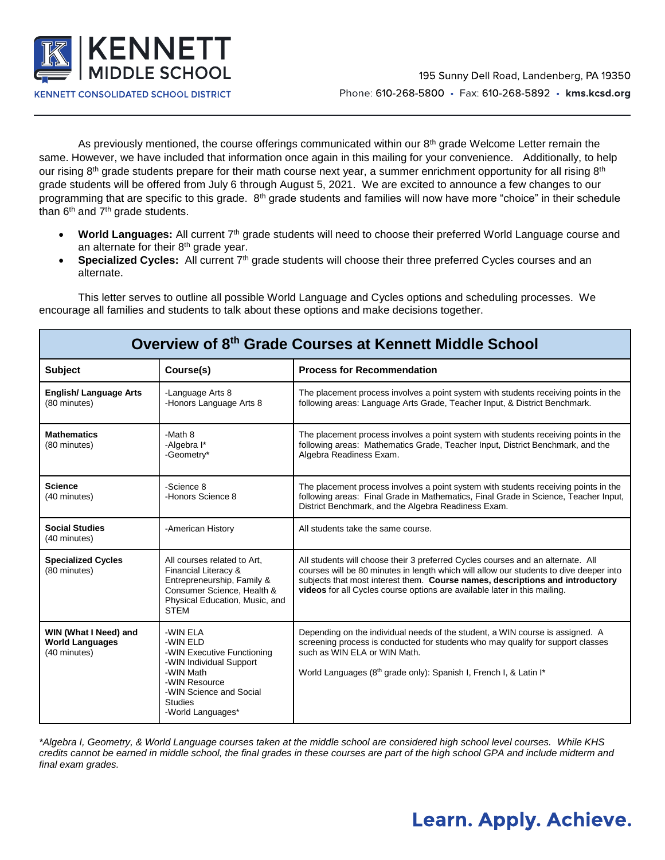

As previously mentioned, the course offerings communicated within our  $8<sup>th</sup>$  grade Welcome Letter remain the same. However, we have included that information once again in this mailing for your convenience. Additionally, to help our rising 8<sup>th</sup> grade students prepare for their math course next year, a summer enrichment opportunity for all rising 8<sup>th</sup> grade students will be offered from July 6 through August 5, 2021. We are excited to announce a few changes to our programming that are specific to this grade.  $8<sup>th</sup>$  grade students and families will now have more "choice" in their schedule than  $6<sup>th</sup>$  and  $7<sup>th</sup>$  grade students.

- **World Languages:** All current 7th grade students will need to choose their preferred World Language course and an alternate for their 8<sup>th</sup> grade year.
- **Specialized Cycles:** All current 7<sup>th</sup> grade students will choose their three preferred Cycles courses and an alternate.

This letter serves to outline all possible World Language and Cycles options and scheduling processes. We encourage all families and students to talk about these options and make decisions together.

| Overview of 8th Grade Courses at Kennett Middle School          |                                                                                                                                                                               |                                                                                                                                                                                                                                                                                                                                         |  |
|-----------------------------------------------------------------|-------------------------------------------------------------------------------------------------------------------------------------------------------------------------------|-----------------------------------------------------------------------------------------------------------------------------------------------------------------------------------------------------------------------------------------------------------------------------------------------------------------------------------------|--|
| <b>Subject</b>                                                  | Course(s)                                                                                                                                                                     | <b>Process for Recommendation</b>                                                                                                                                                                                                                                                                                                       |  |
| <b>English/ Language Arts</b><br>(80 minutes)                   | -Language Arts 8<br>-Honors Language Arts 8                                                                                                                                   | The placement process involves a point system with students receiving points in the<br>following areas: Language Arts Grade, Teacher Input, & District Benchmark.                                                                                                                                                                       |  |
| <b>Mathematics</b><br>(80 minutes)                              | -Math 8<br>-Algebra I*<br>-Geometry*                                                                                                                                          | The placement process involves a point system with students receiving points in the<br>following areas: Mathematics Grade, Teacher Input, District Benchmark, and the<br>Algebra Readiness Exam.                                                                                                                                        |  |
| <b>Science</b><br>(40 minutes)                                  | -Science 8<br>-Honors Science 8                                                                                                                                               | The placement process involves a point system with students receiving points in the<br>following areas: Final Grade in Mathematics, Final Grade in Science, Teacher Input,<br>District Benchmark, and the Algebra Readiness Exam.                                                                                                       |  |
| <b>Social Studies</b><br>(40 minutes)                           | -American History                                                                                                                                                             | All students take the same course.                                                                                                                                                                                                                                                                                                      |  |
| <b>Specialized Cycles</b><br>(80 minutes)                       | All courses related to Art.<br>Financial Literacy &<br>Entrepreneurship, Family &<br>Consumer Science, Health &<br>Physical Education, Music, and<br><b>STEM</b>              | All students will choose their 3 preferred Cycles courses and an alternate. All<br>courses will be 80 minutes in length which will allow our students to dive deeper into<br>subjects that most interest them. Course names, descriptions and introductory<br>videos for all Cycles course options are available later in this mailing. |  |
| WIN (What I Need) and<br><b>World Languages</b><br>(40 minutes) | -WIN ELA<br>-WIN ELD<br>-WIN Executive Functioning<br>-WIN Individual Support<br>-WIN Math<br>-WIN Resource<br>-WIN Science and Social<br><b>Studies</b><br>-World Languages* | Depending on the individual needs of the student, a WIN course is assigned. A<br>screening process is conducted for students who may qualify for support classes<br>such as WIN ELA or WIN Math.<br>World Languages (8th grade only): Spanish I, French I, & Latin I*                                                                   |  |

**Overview of 8th Grade Courses at Kennett Middle School**

*\*Algebra I, Geometry, & World Language courses taken at the middle school are considered high school level courses. While KHS credits cannot be earned in middle school, the final grades in these courses are part of the high school GPA and include midterm and final exam grades.*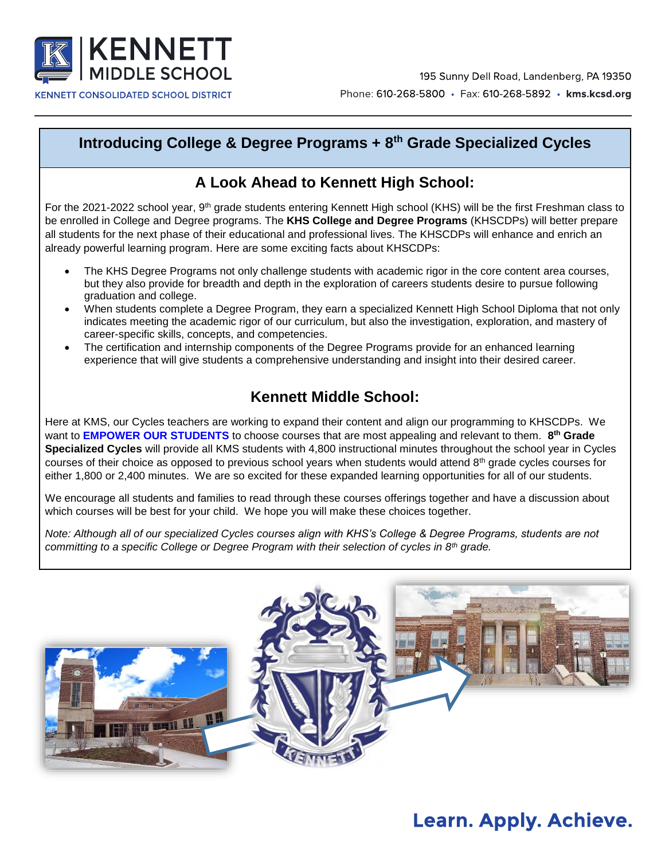

### **Introducing College & Degree Programs + 8th Grade Specialized Cycles**

### **A Look Ahead to Kennett High School:**

For the 2021-2022 school year, 9<sup>th</sup> grade students entering Kennett High school (KHS) will be the first Freshman class to be enrolled in College and Degree programs. The **KHS College and Degree Programs** (KHSCDPs) will better prepare all students for the next phase of their educational and professional lives. The KHSCDPs will enhance and enrich an already powerful learning program. Here are some exciting facts about KHSCDPs:

- The KHS Degree Programs not only challenge students with academic rigor in the core content area courses, but they also provide for breadth and depth in the exploration of careers students desire to pursue following graduation and college.
- When students complete a Degree Program, they earn a specialized Kennett High School Diploma that not only indicates meeting the academic rigor of our curriculum, but also the investigation, exploration, and mastery of career-specific skills, concepts, and competencies.
- The certification and internship components of the Degree Programs provide for an enhanced learning experience that will give students a comprehensive understanding and insight into their desired career.

### **Kennett Middle School:**

Here at KMS, our Cycles teachers are working to expand their content and align our programming to KHSCDPs. We want to **EMPOWER OUR STUDENTS** to choose courses that are most appealing and relevant to them. **8 th Grade Specialized Cycles** will provide all KMS students with 4,800 instructional minutes throughout the school year in Cycles courses of their choice as opposed to previous school years when students would attend  $8<sup>th</sup>$  grade cycles courses for either 1,800 or 2,400 minutes. We are so excited for these expanded learning opportunities for all of our students.

We encourage all students and families to read through these courses offerings together and have a discussion about which courses will be best for your child. We hope you will make these choices together.

*Note: Although all of our specialized Cycles courses align with KHS's College & Degree Programs, students are not committing to a specific College or Degree Program with their selection of cycles in 8th grade.* 

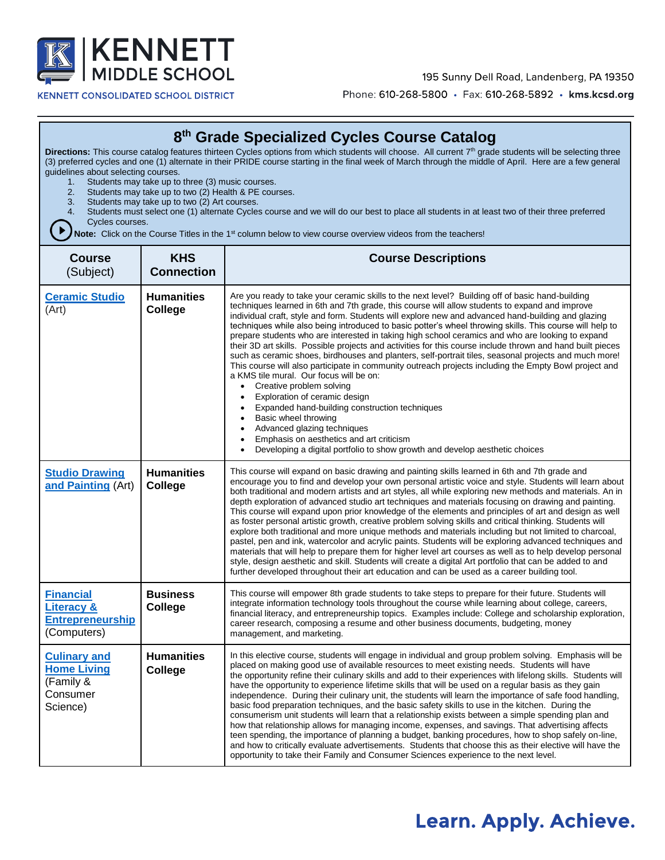

**KENNETT CONSOLIDATED SCHOOL DISTRICT** 

195 Sunny Dell Road, Landenberg, PA 19350

Phone: 610-268-5800 · Fax: 610-268-5892 · kms.kcsd.org

### **8 th Grade Specialized Cycles Course Catalog**

**Directions:** This course catalog features thirteen Cycles options from which students will choose. All current 7<sup>th</sup> grade students will be selecting three (3) preferred cycles and one (1) alternate in their PRIDE course starting in the final week of March through the middle of April. Here are a few general guidelines about selecting courses.

- 1. Students may take up to three (3) music courses.
- 2. Students may take up to two (2) Health & PE courses.
- 3. Students may take up to two (2) Art courses.
- 4. Students must select one (1) alternate Cycles course and we will do our best to place all students in at least two of their three preferred Cycles courses.

**D** Note: Click on the Course Titles in the 1<sup>st</sup> column below to view course overview videos from the teachers!

| <b>Course</b><br>(Subject)                                                          | <b>KHS</b><br><b>Connection</b> | <b>Course Descriptions</b>                                                                                                                                                                                                                                                                                                                                                                                                                                                                                                                                                                                                                                                                                                                                                                                                                                                                                                                                                                                                                                                                                                                                                                                                                                                                      |
|-------------------------------------------------------------------------------------|---------------------------------|-------------------------------------------------------------------------------------------------------------------------------------------------------------------------------------------------------------------------------------------------------------------------------------------------------------------------------------------------------------------------------------------------------------------------------------------------------------------------------------------------------------------------------------------------------------------------------------------------------------------------------------------------------------------------------------------------------------------------------------------------------------------------------------------------------------------------------------------------------------------------------------------------------------------------------------------------------------------------------------------------------------------------------------------------------------------------------------------------------------------------------------------------------------------------------------------------------------------------------------------------------------------------------------------------|
| <b>Ceramic Studio</b><br>(Art)                                                      | <b>Humanities</b><br>College    | Are you ready to take your ceramic skills to the next level? Building off of basic hand-building<br>techniques learned in 6th and 7th grade, this course will allow students to expand and improve<br>individual craft, style and form. Students will explore new and advanced hand-building and glazing<br>techniques while also being introduced to basic potter's wheel throwing skills. This course will help to<br>prepare students who are interested in taking high school ceramics and who are looking to expand<br>their 3D art skills. Possible projects and activities for this course include thrown and hand built pieces<br>such as ceramic shoes, birdhouses and planters, self-portrait tiles, seasonal projects and much more!<br>This course will also participate in community outreach projects including the Empty Bowl project and<br>a KMS tile mural. Our focus will be on:<br>Creative problem solving<br>$\bullet$<br>Exploration of ceramic design<br>$\bullet$<br>Expanded hand-building construction techniques<br>$\bullet$<br>Basic wheel throwing<br>$\bullet$<br>Advanced glazing techniques<br>$\bullet$<br>Emphasis on aesthetics and art criticism<br>$\bullet$<br>Developing a digital portfolio to show growth and develop aesthetic choices<br>$\bullet$ |
| <b>Studio Drawing</b><br>and Painting (Art)                                         | <b>Humanities</b><br>College    | This course will expand on basic drawing and painting skills learned in 6th and 7th grade and<br>encourage you to find and develop your own personal artistic voice and style. Students will learn about<br>both traditional and modern artists and art styles, all while exploring new methods and materials. An in<br>depth exploration of advanced studio art techniques and materials focusing on drawing and painting.<br>This course will expand upon prior knowledge of the elements and principles of art and design as well<br>as foster personal artistic growth, creative problem solving skills and critical thinking. Students will<br>explore both traditional and more unique methods and materials including but not limited to charcoal,<br>pastel, pen and ink, watercolor and acrylic paints. Students will be exploring advanced techniques and<br>materials that will help to prepare them for higher level art courses as well as to help develop personal<br>style, design aesthetic and skill. Students will create a digital Art portfolio that can be added to and<br>further developed throughout their art education and can be used as a career building tool.                                                                                                     |
| <b>Financial</b><br><b>Literacy &amp;</b><br><b>Entrepreneurship</b><br>(Computers) | <b>Business</b><br>College      | This course will empower 8th grade students to take steps to prepare for their future. Students will<br>integrate information technology tools throughout the course while learning about college, careers,<br>financial literacy, and entrepreneurship topics. Examples include: College and scholarship exploration,<br>career research, composing a resume and other business documents, budgeting, money<br>management, and marketing.                                                                                                                                                                                                                                                                                                                                                                                                                                                                                                                                                                                                                                                                                                                                                                                                                                                      |
| <b>Culinary and</b><br><b>Home Living</b><br>(Family &<br>Consumer<br>Science)      | <b>Humanities</b><br>College    | In this elective course, students will engage in individual and group problem solving. Emphasis will be<br>placed on making good use of available resources to meet existing needs. Students will have<br>the opportunity refine their culinary skills and add to their experiences with lifelong skills. Students will<br>have the opportunity to experience lifetime skills that will be used on a regular basis as they gain<br>independence. During their culinary unit, the students will learn the importance of safe food handling,<br>basic food preparation techniques, and the basic safety skills to use in the kitchen. During the<br>consumerism unit students will learn that a relationship exists between a simple spending plan and<br>how that relationship allows for managing income, expenses, and savings. That advertising affects<br>teen spending, the importance of planning a budget, banking procedures, how to shop safely on-line,<br>and how to critically evaluate advertisements. Students that choose this as their elective will have the<br>opportunity to take their Family and Consumer Sciences experience to the next level.                                                                                                                            |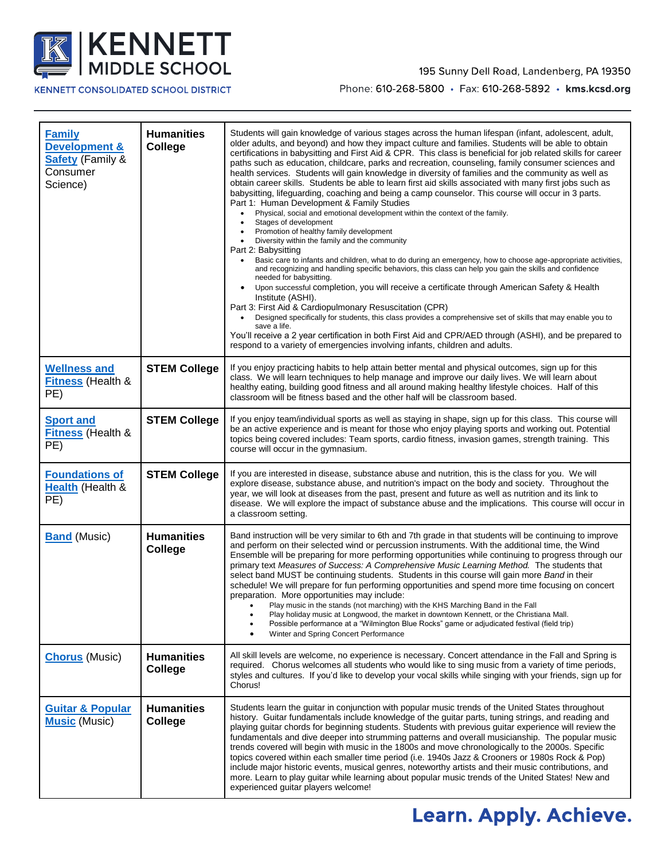

#### **KENNETT CONSOLIDATED SCHOOL DISTRICT**

#### 195 Sunny Dell Road, Landenberg, PA 19350

Phone: 610-268-5800 · Fax: 610-268-5892 · kms.kcsd.org

| <b>Family</b><br><b>Development &amp;</b><br>Safety (Family &<br>Consumer<br>Science) | <b>Humanities</b><br>College | Students will gain knowledge of various stages across the human lifespan (infant, adolescent, adult,<br>older adults, and beyond) and how they impact culture and families. Students will be able to obtain<br>certifications in babysitting and First Aid & CPR. This class is beneficial for job related skills for career<br>paths such as education, childcare, parks and recreation, counseling, family consumer sciences and<br>health services. Students will gain knowledge in diversity of families and the community as well as<br>obtain career skills. Students be able to learn first aid skills associated with many first jobs such as<br>babysitting, lifeguarding, coaching and being a camp counselor. This course will occur in 3 parts.<br>Part 1: Human Development & Family Studies<br>Physical, social and emotional development within the context of the family.<br>Stages of development<br>Promotion of healthy family development<br>Diversity within the family and the community<br>Part 2: Babysitting<br>Basic care to infants and children, what to do during an emergency, how to choose age-appropriate activities,<br>and recognizing and handling specific behaviors, this class can help you gain the skills and confidence<br>needed for babysitting.<br>Upon successful completion, you will receive a certificate through American Safety & Health<br>Institute (ASHI).<br>Part 3: First Aid & Cardiopulmonary Resuscitation (CPR)<br>Designed specifically for students, this class provides a comprehensive set of skills that may enable you to<br>save a life.<br>You'll receive a 2 year certification in both First Aid and CPR/AED through (ASHI), and be prepared to<br>respond to a variety of emergencies involving infants, children and adults. |
|---------------------------------------------------------------------------------------|------------------------------|------------------------------------------------------------------------------------------------------------------------------------------------------------------------------------------------------------------------------------------------------------------------------------------------------------------------------------------------------------------------------------------------------------------------------------------------------------------------------------------------------------------------------------------------------------------------------------------------------------------------------------------------------------------------------------------------------------------------------------------------------------------------------------------------------------------------------------------------------------------------------------------------------------------------------------------------------------------------------------------------------------------------------------------------------------------------------------------------------------------------------------------------------------------------------------------------------------------------------------------------------------------------------------------------------------------------------------------------------------------------------------------------------------------------------------------------------------------------------------------------------------------------------------------------------------------------------------------------------------------------------------------------------------------------------------------------------------------------------------------------------------------------------------------------------|
| <b>Wellness and</b><br><b>Fitness</b> (Health &<br>PE)                                | <b>STEM College</b>          | If you enjoy practicing habits to help attain better mental and physical outcomes, sign up for this<br>class. We will learn techniques to help manage and improve our daily lives. We will learn about<br>healthy eating, building good fitness and all around making healthy lifestyle choices. Half of this<br>classroom will be fitness based and the other half will be classroom based.                                                                                                                                                                                                                                                                                                                                                                                                                                                                                                                                                                                                                                                                                                                                                                                                                                                                                                                                                                                                                                                                                                                                                                                                                                                                                                                                                                                                         |
| <b>Sport and</b><br><b>Fitness</b> (Health &<br>PE)                                   | <b>STEM College</b>          | If you enjoy team/individual sports as well as staying in shape, sign up for this class. This course will<br>be an active experience and is meant for those who enjoy playing sports and working out. Potential<br>topics being covered includes: Team sports, cardio fitness, invasion games, strength training. This<br>course will occur in the gymnasium.                                                                                                                                                                                                                                                                                                                                                                                                                                                                                                                                                                                                                                                                                                                                                                                                                                                                                                                                                                                                                                                                                                                                                                                                                                                                                                                                                                                                                                        |
| <b>Foundations of</b><br>Health (Health &<br>PE)                                      | <b>STEM College</b>          | If you are interested in disease, substance abuse and nutrition, this is the class for you. We will<br>explore disease, substance abuse, and nutrition's impact on the body and society. Throughout the<br>year, we will look at diseases from the past, present and future as well as nutrition and its link to<br>disease. We will explore the impact of substance abuse and the implications. This course will occur in<br>a classroom setting.                                                                                                                                                                                                                                                                                                                                                                                                                                                                                                                                                                                                                                                                                                                                                                                                                                                                                                                                                                                                                                                                                                                                                                                                                                                                                                                                                   |
| <b>Band</b> (Music)                                                                   | <b>Humanities</b><br>College | Band instruction will be very similar to 6th and 7th grade in that students will be continuing to improve<br>and perform on their selected wind or percussion instruments. With the additional time, the Wind<br>Ensemble will be preparing for more performing opportunities while continuing to progress through our<br>primary text Measures of Success: A Comprehensive Music Learning Method. The students that<br>select band MUST be continuing students. Students in this course will gain more Band in their<br>schedule! We will prepare for fun performing opportunities and spend more time focusing on concert<br>preparation. More opportunities may include:<br>Play music in the stands (not marching) with the KHS Marching Band in the Fall<br>Play holiday music at Longwood, the market in downtown Kennett, or the Christiana Mall.<br>Possible performance at a "Wilmington Blue Rocks" game or adjudicated festival (field trip)<br>Winter and Spring Concert Performance<br>$\bullet$                                                                                                                                                                                                                                                                                                                                                                                                                                                                                                                                                                                                                                                                                                                                                                                        |
| <b>Chorus</b> (Music)                                                                 | <b>Humanities</b><br>College | All skill levels are welcome, no experience is necessary. Concert attendance in the Fall and Spring is<br>required. Chorus welcomes all students who would like to sing music from a variety of time periods,<br>styles and cultures. If you'd like to develop your vocal skills while singing with your friends, sign up for<br>Chorus!                                                                                                                                                                                                                                                                                                                                                                                                                                                                                                                                                                                                                                                                                                                                                                                                                                                                                                                                                                                                                                                                                                                                                                                                                                                                                                                                                                                                                                                             |
| <b>Guitar &amp; Popular</b><br><b>Music</b> (Music)                                   | <b>Humanities</b><br>College | Students learn the guitar in conjunction with popular music trends of the United States throughout<br>history. Guitar fundamentals include knowledge of the guitar parts, tuning strings, and reading and<br>playing quitar chords for beginning students. Students with previous quitar experience will review the<br>fundamentals and dive deeper into strumming patterns and overall musicianship. The popular music<br>trends covered will begin with music in the 1800s and move chronologically to the 2000s. Specific<br>topics covered within each smaller time period (i.e. 1940s Jazz & Crooners or 1980s Rock & Pop)<br>include major historic events, musical genres, noteworthy artists and their music contributions, and<br>more. Learn to play guitar while learning about popular music trends of the United States! New and<br>experienced guitar players welcome!                                                                                                                                                                                                                                                                                                                                                                                                                                                                                                                                                                                                                                                                                                                                                                                                                                                                                                                 |